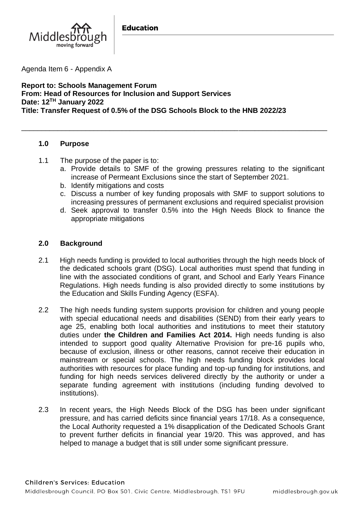

Agenda Item 6 - Appendix A

**Report to: Schools Management Forum From: Head of Resources for Inclusion and Support Services Date: 12TH January 2022 Title: Transfer Request of 0.5% of the DSG Schools Block to the HNB 2022/23**

\_\_\_\_\_\_\_\_\_\_\_\_\_\_\_\_\_\_\_\_\_\_\_\_\_\_\_\_\_\_\_\_\_\_\_\_\_\_\_\_\_\_\_\_\_\_\_\_\_\_\_\_\_\_\_\_\_\_\_\_\_\_\_\_\_\_\_\_\_\_\_\_\_\_\_\_

### **1.0 Purpose**

- 1.1 The purpose of the paper is to:
	- a. Provide details to SMF of the growing pressures relating to the significant increase of Permeant Exclusions since the start of September 2021.
	- b. Identify mitigations and costs
	- c. Discuss a number of key funding proposals with SMF to support solutions to increasing pressures of permanent exclusions and required specialist provision
	- d. Seek approval to transfer 0.5% into the High Needs Block to finance the appropriate mitigations

## **2.0 Background**

- 2.1 High needs funding is provided to local authorities through the high needs block of the dedicated schools grant (DSG). Local authorities must spend that funding in line with the associated conditions of grant, and School and Early Years Finance Regulations. High needs funding is also provided directly to some institutions by the Education and Skills Funding Agency (ESFA).
- 2.2 The high needs funding system supports provision for children and young people with special educational needs and disabilities (SEND) from their early years to age 25, enabling both local authorities and institutions to meet their statutory duties under **the Children and Families Act 2014.** High needs funding is also intended to support good quality Alternative Provision for pre-16 pupils who, because of exclusion, illness or other reasons, cannot receive their education in mainstream or special schools. The high needs funding block provides local authorities with resources for place funding and top-up funding for institutions, and funding for high needs services delivered directly by the authority or under a separate funding agreement with institutions (including funding devolved to institutions).
- 2.3 In recent years, the High Needs Block of the DSG has been under significant pressure, and has carried deficits since financial years 17/18. As a consequence, the Local Authority requested a 1% disapplication of the Dedicated Schools Grant to prevent further deficits in financial year 19/20. This was approved, and has helped to manage a budget that is still under some significant pressure.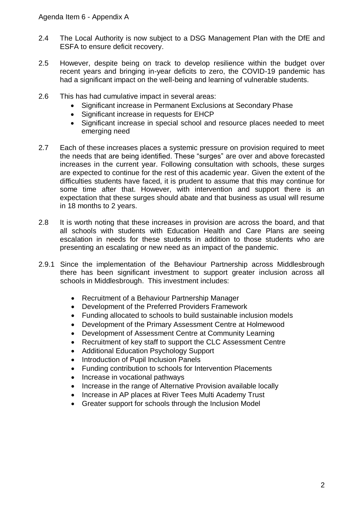- 2.4 The Local Authority is now subject to a DSG Management Plan with the DfE and ESFA to ensure deficit recovery.
- 2.5 However, despite being on track to develop resilience within the budget over recent years and bringing in-year deficits to zero, the COVID-19 pandemic has had a significant impact on the well-being and learning of vulnerable students.
- 2.6 This has had cumulative impact in several areas:
	- Significant increase in Permanent Exclusions at Secondary Phase
	- Significant increase in requests for EHCP
	- Significant increase in special school and resource places needed to meet emerging need
- 2.7 Each of these increases places a systemic pressure on provision required to meet the needs that are being identified. These "surges" are over and above forecasted increases in the current year. Following consultation with schools, these surges are expected to continue for the rest of this academic year. Given the extent of the difficulties students have faced, it is prudent to assume that this may continue for some time after that. However, with intervention and support there is an expectation that these surges should abate and that business as usual will resume in 18 months to 2 years.
- 2.8 It is worth noting that these increases in provision are across the board, and that all schools with students with Education Health and Care Plans are seeing escalation in needs for these students in addition to those students who are presenting an escalating or new need as an impact of the pandemic.
- 2.9.1 Since the implementation of the Behaviour Partnership across Middlesbrough there has been significant investment to support greater inclusion across all schools in Middlesbrough. This investment includes:
	- Recruitment of a Behaviour Partnership Manager
	- Development of the Preferred Providers Framework
	- Funding allocated to schools to build sustainable inclusion models
	- Development of the Primary Assessment Centre at Holmewood
	- Development of Assessment Centre at Community Learning
	- Recruitment of key staff to support the CLC Assessment Centre
	- Additional Education Psychology Support
	- Introduction of Pupil Inclusion Panels
	- Funding contribution to schools for Intervention Placements
	- Increase in vocational pathways
	- Increase in the range of Alternative Provision available locally
	- Increase in AP places at River Tees Multi Academy Trust
	- Greater support for schools through the Inclusion Model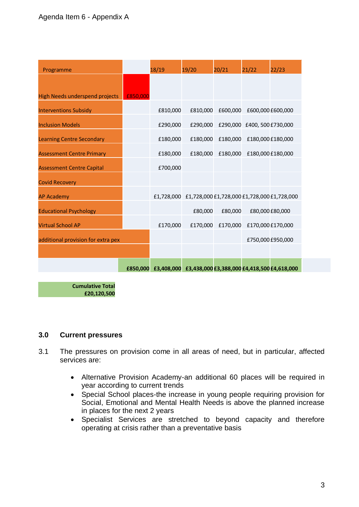| Programme                             |          | 18/19    | 19/20                                                           | 20/21                                | 21/22             | 22/23 |
|---------------------------------------|----------|----------|-----------------------------------------------------------------|--------------------------------------|-------------------|-------|
|                                       |          |          |                                                                 |                                      |                   |       |
| <b>High Needs underspend projects</b> | £850,000 |          |                                                                 |                                      |                   |       |
| <b>Interventions Subsidy</b>          |          | £810,000 | £810,000                                                        | £600,000                             | £600,000 £600,000 |       |
| <b>Inclusion Models</b>               |          | £290,000 |                                                                 | £290,000 £290,000 £400, 500 £730,000 |                   |       |
| <b>Learning Centre Secondary</b>      |          | £180,000 |                                                                 | £180,000 £180,000 £180,000 £180,000  |                   |       |
| <b>Assessment Centre Primary</b>      |          | £180,000 | £180,000                                                        | £180,000                             | £180,000 £180,000 |       |
| <b>Assessment Centre Capital</b>      |          | £700,000 |                                                                 |                                      |                   |       |
| <b>Covid Recovery</b>                 |          |          |                                                                 |                                      |                   |       |
| <b>AP Academy</b>                     |          |          | £1,728,000 £1,728,000 £1,728,000 £1,728,000 £1,728,000          |                                      |                   |       |
| <b>Educational Psychology</b>         |          |          | £80,000                                                         | £80,000                              | £80,000 £80,000   |       |
| <b>Virtual School AP</b>              |          | £170,000 | £170,000                                                        | £170,000                             | £170,000 £170,000 |       |
| additional provision for extra pex    |          |          |                                                                 |                                      | £750,000 £950,000 |       |
|                                       |          |          |                                                                 |                                      |                   |       |
|                                       |          |          | £850,000 £3,408,000 £3,438,000 £3,388,000 £4,418,500 £4,618,000 |                                      |                   |       |

**Cumulative Total £20,120,500**

### **3.0 Current pressures**

- 3.1 The pressures on provision come in all areas of need, but in particular, affected services are:
	- Alternative Provision Academy-an additional 60 places will be required in year according to current trends
	- Special School places-the increase in young people requiring provision for Social, Emotional and Mental Health Needs is above the planned increase in places for the next 2 years
	- Specialist Services are stretched to beyond capacity and therefore operating at crisis rather than a preventative basis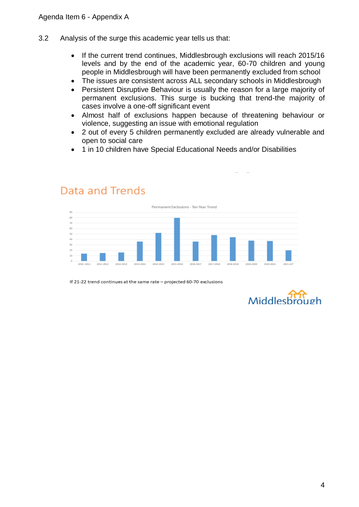Data and Trends

- 3.2 Analysis of the surge this academic year tells us that:
	- If the current trend continues, Middlesbrough exclusions will reach 2015/16 levels and by the end of the academic year, 60-70 children and young people in Middlesbrough will have been permanently excluded from school
	- The issues are consistent across ALL secondary schools in Middlesbrough
	- Persistent Disruptive Behaviour is usually the reason for a large majority of permanent exclusions. This surge is bucking that trend-the majority of cases involve a one-off significant event
	- Almost half of exclusions happen because of threatening behaviour or violence, suggesting an issue with emotional regulation
	- 2 out of every 5 children permanently excluded are already vulnerable and open to social care
	- 1 in 10 children have Special Educational Needs and/or Disabilities



If 21-22 trend continues at the same rate - projected 60-70 exclusions



### 4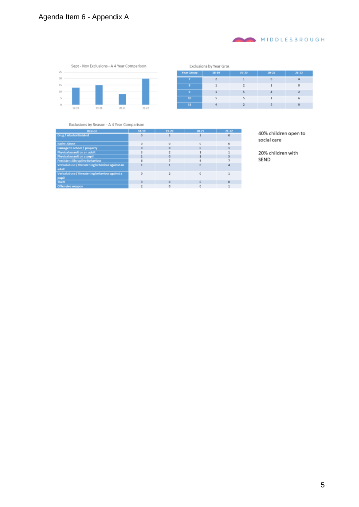# Agenda Item 6 - Appendix A



|            | Exclusions by Year Grou |           |           |                   |
|------------|-------------------------|-----------|-----------|-------------------|
| Year Group | $18 - 19$               | $19 - 20$ | $20 - 21$ | $21 - 22$         |
|            | 2                       |           | $\Omega$  |                   |
|            |                         |           |           | 貝                 |
| ٥          |                         |           |           |                   |
| 10         | E,                      |           |           | 6                 |
| 11         |                         | ۰,        |           | $\ddot{\text{o}}$ |

#### Exclusions by Reason - A 4 Year Comparison

| Reason                                                   | 13-19    | 19-20 | 20-21 | $21 - 22$ |
|----------------------------------------------------------|----------|-------|-------|-----------|
| Drug / Alcohol Related                                   | o        |       |       |           |
| <b>Racist Abuse</b>                                      |          |       |       |           |
| Damage to school / property                              | o        |       | o     |           |
| Physical assault on an adult                             |          |       |       |           |
| Physical assault on a pupil                              |          |       |       |           |
| Persistent Disruptive Behaviour                          |          |       |       |           |
| Verbal abuse / threatening behaviour against an<br>adult |          |       |       |           |
| Verbal abuse / threatening behaviour against a<br>pupil  | $\Omega$ |       |       |           |
| Theft                                                    | o        |       | o     | $\circ$   |
| Offensive weapon                                         |          |       |       |           |

40% children open to social care

MIDDLESBROUGH

20% children with SEND